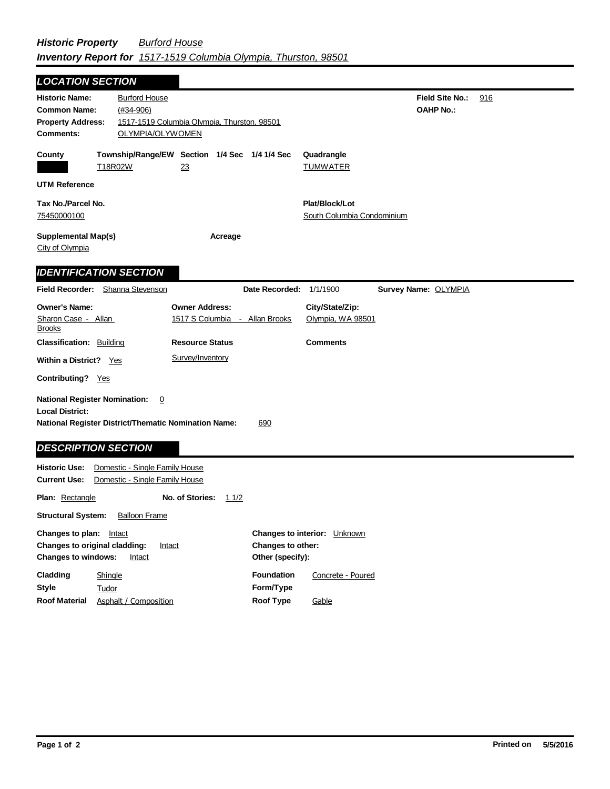| <b>LOCATION SECTION</b>                                                                      |                                                                  |                                                            |                          |                                              |                                            |     |
|----------------------------------------------------------------------------------------------|------------------------------------------------------------------|------------------------------------------------------------|--------------------------|----------------------------------------------|--------------------------------------------|-----|
| <b>Historic Name:</b><br><b>Common Name:</b><br><b>Property Address:</b><br><b>Comments:</b> | <b>Burford House</b><br>$(#34-906)$<br>OLYMPIA/OLYWOMEN          | 1517-1519 Columbia Olympia, Thurston, 98501                |                          |                                              | <b>Field Site No.:</b><br><b>OAHP No.:</b> | 916 |
| County                                                                                       | <u>T18R02W</u>                                                   | Township/Range/EW Section 1/4 Sec 1/4 1/4 Sec<br><u>23</u> |                          | Quadrangle<br>TUMWATER                       |                                            |     |
| <b>UTM Reference</b>                                                                         |                                                                  |                                                            |                          |                                              |                                            |     |
| Tax No./Parcel No.<br>75450000100                                                            |                                                                  |                                                            |                          | Plat/Block/Lot<br>South Columbia Condominium |                                            |     |
| <b>Supplemental Map(s)</b><br><u>City of Olympia</u>                                         |                                                                  | Acreage                                                    |                          |                                              |                                            |     |
|                                                                                              | <b>IDENTIFICATION SECTION</b>                                    |                                                            |                          |                                              |                                            |     |
|                                                                                              | Field Recorder: Shanna Stevenson                                 |                                                            | Date Recorded:           | 1/1/1900                                     | Survey Name: OLYMPIA                       |     |
| <b>Owner's Name:</b><br>Sharon Case - Allan<br><u>Brooks</u>                                 |                                                                  | <b>Owner Address:</b><br>1517 S Columbia - Allan Brooks    |                          | City/State/Zip:<br>Olympia, WA 98501         |                                            |     |
| <b>Classification: Building</b>                                                              |                                                                  | <b>Resource Status</b>                                     |                          | <b>Comments</b>                              |                                            |     |
| Within a District? Yes                                                                       |                                                                  | Survey/Inventory                                           |                          |                                              |                                            |     |
| <b>Contributing?</b> Yes                                                                     |                                                                  |                                                            |                          |                                              |                                            |     |
| <b>National Register Nomination:</b><br><b>Local District:</b>                               | 0<br><b>National Register District/Thematic Nomination Name:</b> |                                                            | 690                      |                                              |                                            |     |
| <b>DESCRIPTION SECTION</b>                                                                   |                                                                  |                                                            |                          |                                              |                                            |     |
| <b>Historic Use:</b><br><b>Current Use:</b>                                                  | Domestic - Single Family House<br>Domestic - Single Family House |                                                            |                          |                                              |                                            |     |
| <b>Plan: Rectangle</b>                                                                       |                                                                  | No. of Stories:<br>11/2                                    |                          |                                              |                                            |     |
| <b>Structural System:</b>                                                                    | <b>Balloon Frame</b>                                             |                                                            |                          |                                              |                                            |     |
| <b>Changes to plan:</b> Intact<br>Changes to original cladding:                              | Intact                                                           |                                                            | <b>Changes to other:</b> | Changes to interior: Unknown                 |                                            |     |

**Other (specify):**

Concrete - Poured

**Gable** 

**Foundation**

**Style Roof Material Form/Type Roof Type Tudor** Asphalt / Composition

**Cladding**

**Changes to windows:** Intact

**Shingle**